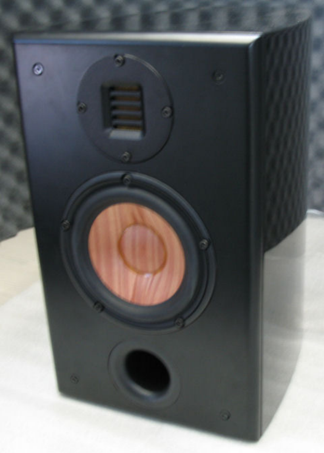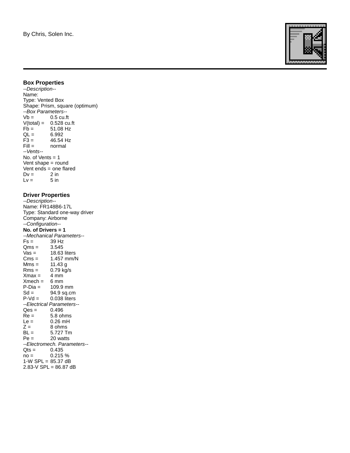

## **Box Properties**

--Description-- Name: Type: Vented Box Shape: Prism, square (optimum) --Box Parameters--<br>Vb = 0.5 cu.ft  $0.5$  cu.ft  $V(total) = 0.528 \text{ c}u.ft$ <br>Fb = 51.08 Hz 51.08 Hz  $QL = 6.992$ <br>F3 = 46.54  $F3 = 46.54$  Hz<br> $Fill =$  normal normal --Vents-- No. of Vents = 1 Vent shape = round Vent ends = one flared  $Dv =$  2 in<br> $Lv =$  5 in  $Lv =$ 

#### **Driver Properties**

--Description-- Name: FR148B6-17L Type: Standard one-way driver Company: Airborne --Configuration-- **No. of Drivers = 1** --Mechanical Parameters--<br>Fs = 39 Hz 39 Hz<br>3.545  $Qms =$ <br>Vas  $=$  $Vas = 18.63$  liters<br>Cms = 1.457 mm/  $Cms = 1.457 \text{ mm/N}$ <br> $Mms = 11.43 \text{ q}$  $11.43 g$  $Rms = 0.79 kg/s$  $Xmax = 4 mm$ <br> $Xmech = 6 mm$ Xmech =<br>P-Dia = P-Dia = 109.9 mm<br>Sd = 94.9 sq.cm  $Sd = 94.9$  sq.cm<br> $P-Vd = 0.038$  liters  $0.038$  liters --Electrical Parameters--<br>Qes = 0.496 Qes =<br>Re =  $Re =$  5.8 ohms<br>  $Le =$  0.26 mH  $0.26$  mH  $Z = 8 \text{ ohms}$  $BL = 5.727$  Tm<br>  $Pe = 20$  watts 20 watts --Electromech. Parameters--  $Qts = 0.435$ <br>no = 0.215  $0.215%$  $1-W$  SPL = 85.37 dB 2.83-V SPL =  $86.87$  dB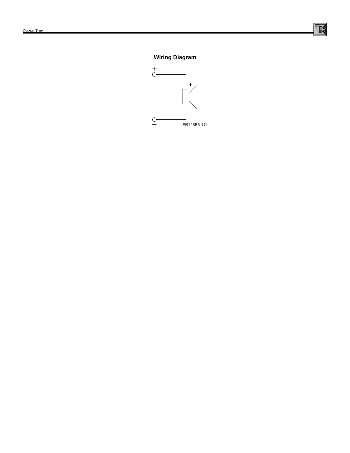## **Wiring Diagram**

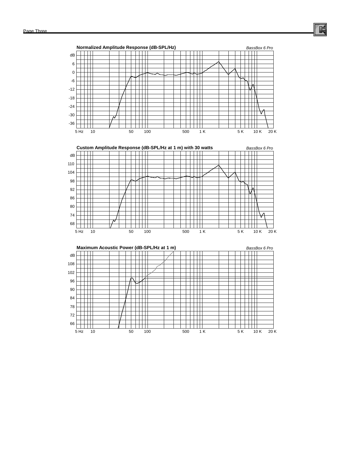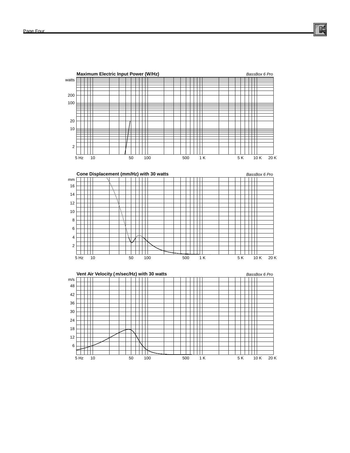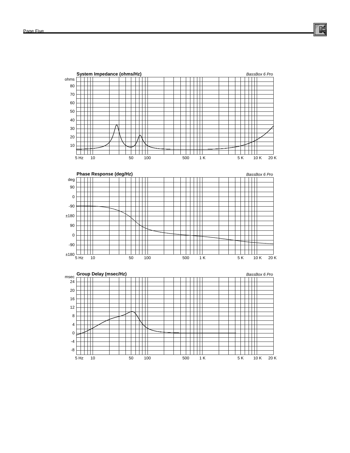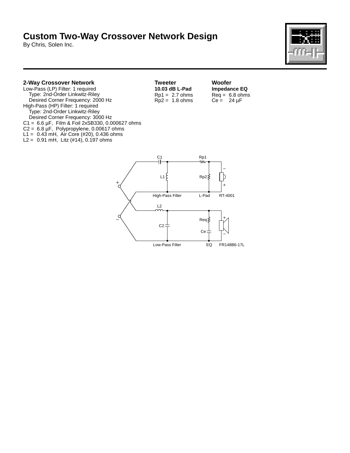# **Custom Two-Way Crossover Network Design**

By Chris, Solen Inc.



### **2-Way Crossover Network**

Low-Pass (LP) Filter: 1 required Type: 2nd-Order Linkwitz-Riley Desired Corner Frequency: 2000 Hz High-Pass (HP) Filter: 1 required Type: 2nd-Order Linkwitz-Riley Desired Corner Frequency: 3000 Hz C1 = 6.6 µF, Film & Foil 2xSB330, 0.000627 ohms  $C2 = 6.8 \,\mu\text{F}$ , Polypropylene, 0.00617 ohms L1 = 0.43 mH, Air Core (#20), 0.436 ohms L2 =  $0.91$  mH, Litz (#14), 0.197 ohms

**Tweeter 10.03 dB L-Pad**  $Rp1 = 2.7 ohms$  $Rp2 = 1.8 ohms$  **Woofer Impedance EQ**  $Req = 6.8$  ohms  $Ce = 24 \mu F$ 

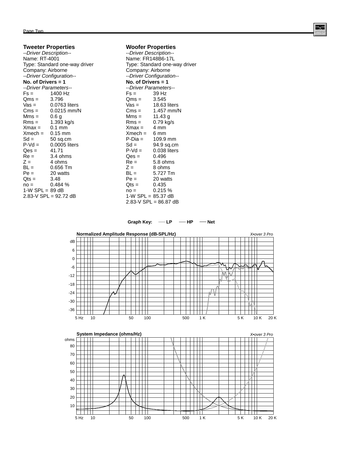| <b>Tweeter Properties</b>     |               |  |
|-------------------------------|---------------|--|
| --Driver Description--        |               |  |
| Name: RT-4001                 |               |  |
| Type: Standard one-way driver |               |  |
| Company: Airborne             |               |  |
| --Driver Configuration--      |               |  |
| <b>No. of Drivers = 1</b>     |               |  |
| --Driver Parameters--         |               |  |
| $Fs =$                        | 1400 Hz       |  |
| $Qms =$                       | 3.796         |  |
| Vas =                         | 0.0763 liters |  |
| $Cms =$                       | 0.0215 mm/N   |  |
| $Mms =$                       | 0.6 g         |  |
| $Rms =$                       | 1.393 kg/s    |  |
| $Xmax =$                      | $0.1$ mm      |  |
| $Xmech = 0.15$ mm             |               |  |
| $Sd =$                        | 50 sq.cm      |  |
| $P-Vd =$                      | 0.0005 liters |  |
| Qes =                         | 41.71         |  |
| Re =                          | 3.4 ohms      |  |
| $Z =$                         | 4 ohms        |  |
| BL =                          | 0.656 Tm      |  |
| Pe =                          | 20 watts      |  |
| Qts =                         | 3.48          |  |
| $no =$                        | 0.484 %       |  |
| $1-W$ SPL = 89 dB             |               |  |
| 2.83-V SPL = $92.72$ dB       |               |  |

| <b>Woofer Properties</b>                      |                         |  |
|-----------------------------------------------|-------------------------|--|
| --Driver Description--                        |                         |  |
| Name: FR148B6-17L                             |                         |  |
| Type: Standard one-way driver                 |                         |  |
| Company: Airborne                             |                         |  |
|                                               |                         |  |
| --Driver Configuration--                      |                         |  |
| No. of Drivers $=$ 1<br>--Driver Parameters-- |                         |  |
|                                               |                         |  |
| $Fs =$                                        | 39 Hz                   |  |
| $Qms =$                                       | 3.545                   |  |
| Vas =                                         | 18.63 liters            |  |
|                                               | $Cms = 1.457$ mm/N      |  |
| $Mms = 11.43 g$                               |                         |  |
| $Rms = 0.79 kg/s$                             |                         |  |
| $Xmax = 4$ mm                                 |                         |  |
| $X$ mech = 6 mm                               |                         |  |
| $P-Dia =$                                     | 109.9 mm                |  |
| $Sd =$                                        | 94.9 sq.cm              |  |
|                                               | $P-Vd = 0.038$ liters   |  |
| $\mathsf{Oes} =$                              | 0.496                   |  |
| $Re =$                                        | 5.8 ohms                |  |
| $Z =$                                         | 8 ohms                  |  |
| BL =                                          | 5.727 Tm                |  |
| $Pe =$                                        | 20 watts                |  |
| $Qts =$                                       | 0.435                   |  |
| $no =$                                        | 0.215 %                 |  |
| 1-W $SPL = 85.37 dB$                          |                         |  |
|                                               | 2.83-V SPL = $86.87$ dB |  |

Graph Key:  $\longrightarrow$  LP  $\longrightarrow$  HP  $\longrightarrow$  Net



課題 mH